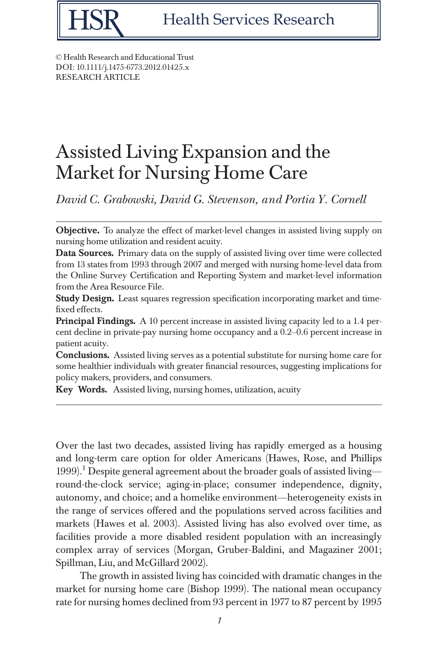# Health Services Research

© Health Research and Educational Trust DOI: 10.1111/j.1475-6773.2012.01425.x RESEARCH ARTICLE

# Assisted Living Expansion and the Market for Nursing Home Care

David C. Grabowski, David G. Stevenson, and Portia Y. Cornell

Objective. To analyze the effect of market-level changes in assisted living supply on nursing home utilization and resident acuity.

Data Sources. Primary data on the supply of assisted living over time were collected from 13 states from 1993 through 2007 and merged with nursing home-level data from the Online Survey Certification and Reporting System and market-level information from the Area Resource File.

Study Design. Least squares regression specification incorporating market and timefixed effects.

Principal Findings. A 10 percent increase in assisted living capacity led to a 1.4 percent decline in private-pay nursing home occupancy and a 0.2–0.6 percent increase in patient acuity.

Conclusions. Assisted living serves as a potential substitute for nursing home care for some healthier individuals with greater financial resources, suggesting implications for policy makers, providers, and consumers.

Key Words. Assisted living, nursing homes, utilization, acuity

Over the last two decades, assisted living has rapidly emerged as a housing and long-term care option for older Americans (Hawes, Rose, and Phillips 1999).<sup>1</sup> Despite general agreement about the broader goals of assisted living round-the-clock service; aging-in-place; consumer independence, dignity, autonomy, and choice; and a homelike environment—heterogeneity exists in the range of services offered and the populations served across facilities and markets (Hawes et al. 2003). Assisted living has also evolved over time, as facilities provide a more disabled resident population with an increasingly complex array of services (Morgan, Gruber-Baldini, and Magaziner 2001; Spillman, Liu, and McGillard 2002).

The growth in assisted living has coincided with dramatic changes in the market for nursing home care (Bishop 1999). The national mean occupancy rate for nursing homes declined from 93 percent in 1977 to 87 percent by 1995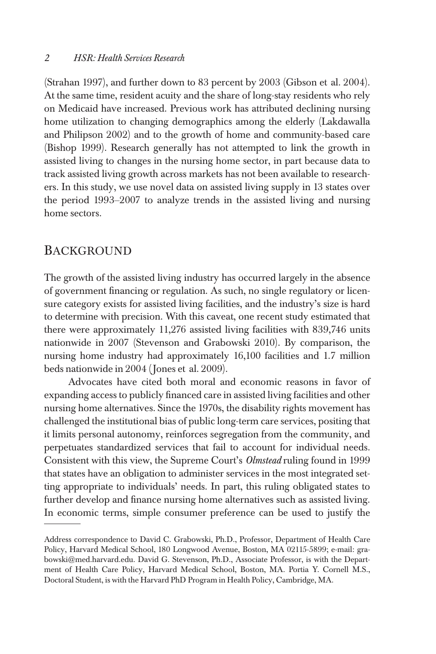(Strahan 1997), and further down to 83 percent by 2003 (Gibson et al. 2004). At the same time, resident acuity and the share of long-stay residents who rely on Medicaid have increased. Previous work has attributed declining nursing home utilization to changing demographics among the elderly (Lakdawalla and Philipson 2002) and to the growth of home and community-based care (Bishop 1999). Research generally has not attempted to link the growth in assisted living to changes in the nursing home sector, in part because data to track assisted living growth across markets has not been available to researchers. In this study, we use novel data on assisted living supply in 13 states over the period 1993–2007 to analyze trends in the assisted living and nursing home sectors.

# BACKGROUND

The growth of the assisted living industry has occurred largely in the absence of government financing or regulation. As such, no single regulatory or licensure category exists for assisted living facilities, and the industry's size is hard to determine with precision. With this caveat, one recent study estimated that there were approximately 11,276 assisted living facilities with 839,746 units nationwide in 2007 (Stevenson and Grabowski 2010). By comparison, the nursing home industry had approximately 16,100 facilities and 1.7 million beds nationwide in 2004 ( Jones et al. 2009).

Advocates have cited both moral and economic reasons in favor of expanding access to publicly financed care in assisted living facilities and other nursing home alternatives. Since the 1970s, the disability rights movement has challenged the institutional bias of public long-term care services, positing that it limits personal autonomy, reinforces segregation from the community, and perpetuates standardized services that fail to account for individual needs. Consistent with this view, the Supreme Court's *Olmstead* ruling found in 1999 that states have an obligation to administer services in the most integrated setting appropriate to individuals' needs. In part, this ruling obligated states to further develop and finance nursing home alternatives such as assisted living. In economic terms, simple consumer preference can be used to justify the

Address correspondence to David C. Grabowski, Ph.D., Professor, Department of Health Care Policy, Harvard Medical School, 180 Longwood Avenue, Boston, MA 02115-5899; e-mail: grabowski@med.harvard.edu. David G. Stevenson, Ph.D., Associate Professor, is with the Department of Health Care Policy, Harvard Medical School, Boston, MA. Portia Y. Cornell M.S., Doctoral Student, is with the Harvard PhD Program in Health Policy, Cambridge, MA.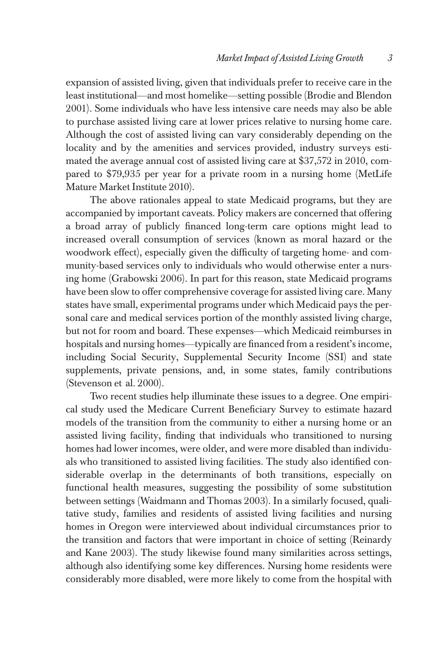expansion of assisted living, given that individuals prefer to receive care in the least institutional—and most homelike—setting possible (Brodie and Blendon 2001). Some individuals who have less intensive care needs may also be able to purchase assisted living care at lower prices relative to nursing home care. Although the cost of assisted living can vary considerably depending on the locality and by the amenities and services provided, industry surveys estimated the average annual cost of assisted living care at \$37,572 in 2010, compared to \$79,935 per year for a private room in a nursing home (MetLife Mature Market Institute 2010).

The above rationales appeal to state Medicaid programs, but they are accompanied by important caveats. Policy makers are concerned that offering a broad array of publicly financed long-term care options might lead to increased overall consumption of services (known as moral hazard or the woodwork effect), especially given the difficulty of targeting home- and community-based services only to individuals who would otherwise enter a nursing home (Grabowski 2006). In part for this reason, state Medicaid programs have been slow to offer comprehensive coverage for assisted living care. Many states have small, experimental programs under which Medicaid pays the personal care and medical services portion of the monthly assisted living charge, but not for room and board. These expenses—which Medicaid reimburses in hospitals and nursing homes—typically are financed from a resident's income, including Social Security, Supplemental Security Income (SSI) and state supplements, private pensions, and, in some states, family contributions (Stevenson et al. 2000).

Two recent studies help illuminate these issues to a degree. One empirical study used the Medicare Current Beneficiary Survey to estimate hazard models of the transition from the community to either a nursing home or an assisted living facility, finding that individuals who transitioned to nursing homes had lower incomes, were older, and were more disabled than individuals who transitioned to assisted living facilities. The study also identified considerable overlap in the determinants of both transitions, especially on functional health measures, suggesting the possibility of some substitution between settings (Waidmann and Thomas 2003). In a similarly focused, qualitative study, families and residents of assisted living facilities and nursing homes in Oregon were interviewed about individual circumstances prior to the transition and factors that were important in choice of setting (Reinardy and Kane 2003). The study likewise found many similarities across settings, although also identifying some key differences. Nursing home residents were considerably more disabled, were more likely to come from the hospital with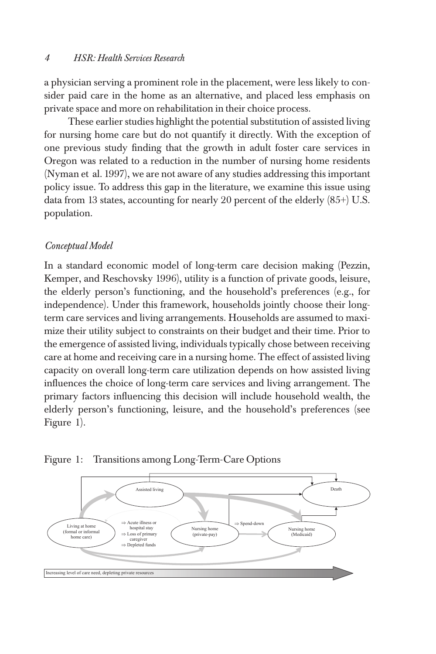#### 4 HSR: Health Services Research

a physician serving a prominent role in the placement, were less likely to consider paid care in the home as an alternative, and placed less emphasis on private space and more on rehabilitation in their choice process.

These earlier studies highlight the potential substitution of assisted living for nursing home care but do not quantify it directly. With the exception of one previous study finding that the growth in adult foster care services in Oregon was related to a reduction in the number of nursing home residents (Nyman et al. 1997), we are not aware of any studies addressing this important policy issue. To address this gap in the literature, we examine this issue using data from 13 states, accounting for nearly 20 percent of the elderly (85+) U.S. population.

#### Conceptual Model

In a standard economic model of long-term care decision making (Pezzin, Kemper, and Reschovsky 1996), utility is a function of private goods, leisure, the elderly person's functioning, and the household's preferences (e.g., for independence). Under this framework, households jointly choose their longterm care services and living arrangements. Households are assumed to maximize their utility subject to constraints on their budget and their time. Prior to the emergence of assisted living, individuals typically chose between receiving care at home and receiving care in a nursing home. The effect of assisted living capacity on overall long-term care utilization depends on how assisted living influences the choice of long-term care services and living arrangement. The primary factors influencing this decision will include household wealth, the elderly person's functioning, leisure, and the household's preferences (see Figure 1).



Figure 1: Transitions among Long-Term-Care Options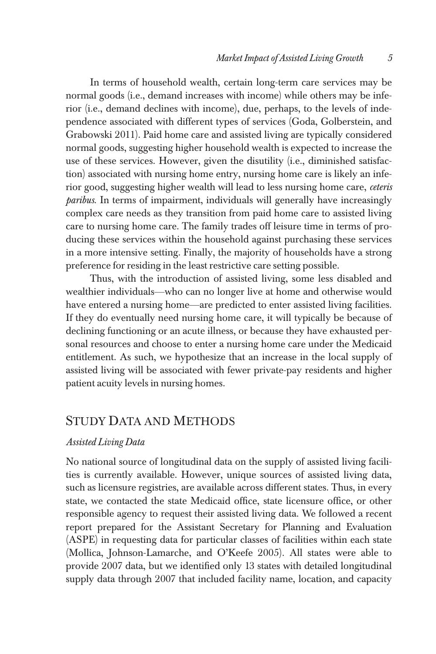In terms of household wealth, certain long-term care services may be normal goods (i.e., demand increases with income) while others may be inferior (i.e., demand declines with income), due, perhaps, to the levels of independence associated with different types of services (Goda, Golberstein, and Grabowski 2011). Paid home care and assisted living are typically considered normal goods, suggesting higher household wealth is expected to increase the use of these services. However, given the disutility (i.e., diminished satisfaction) associated with nursing home entry, nursing home care is likely an inferior good, suggesting higher wealth will lead to less nursing home care, ceteris paribus. In terms of impairment, individuals will generally have increasingly complex care needs as they transition from paid home care to assisted living care to nursing home care. The family trades off leisure time in terms of producing these services within the household against purchasing these services in a more intensive setting. Finally, the majority of households have a strong preference for residing in the least restrictive care setting possible.

Thus, with the introduction of assisted living, some less disabled and wealthier individuals—who can no longer live at home and otherwise would have entered a nursing home—are predicted to enter assisted living facilities. If they do eventually need nursing home care, it will typically be because of declining functioning or an acute illness, or because they have exhausted personal resources and choose to enter a nursing home care under the Medicaid entitlement. As such, we hypothesize that an increase in the local supply of assisted living will be associated with fewer private-pay residents and higher patient acuity levels in nursing homes.

## STUDY DATA AND METHODS

#### Assisted Living Data

No national source of longitudinal data on the supply of assisted living facilities is currently available. However, unique sources of assisted living data, such as licensure registries, are available across different states. Thus, in every state, we contacted the state Medicaid office, state licensure office, or other responsible agency to request their assisted living data. We followed a recent report prepared for the Assistant Secretary for Planning and Evaluation (ASPE) in requesting data for particular classes of facilities within each state (Mollica, Johnson-Lamarche, and O'Keefe 2005). All states were able to provide 2007 data, but we identified only 13 states with detailed longitudinal supply data through 2007 that included facility name, location, and capacity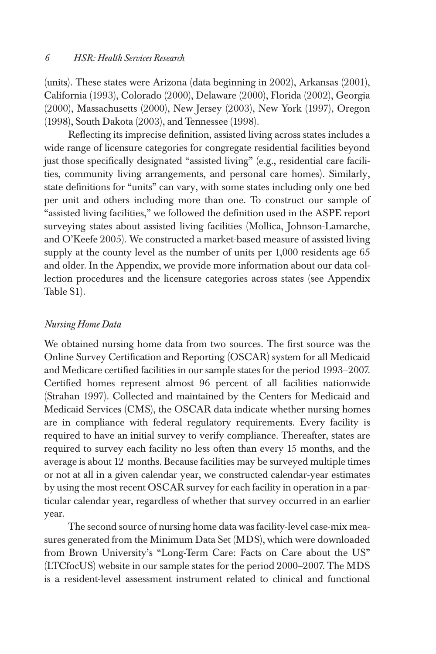(units). These states were Arizona (data beginning in 2002), Arkansas (2001), California (1993), Colorado (2000), Delaware (2000), Florida (2002), Georgia (2000), Massachusetts (2000), New Jersey (2003), New York (1997), Oregon (1998), South Dakota (2003), and Tennessee (1998).

Reflecting its imprecise definition, assisted living across states includes a wide range of licensure categories for congregate residential facilities beyond just those specifically designated "assisted living" (e.g., residential care facilities, community living arrangements, and personal care homes). Similarly, state definitions for "units" can vary, with some states including only one bed per unit and others including more than one. To construct our sample of "assisted living facilities," we followed the definition used in the ASPE report surveying states about assisted living facilities (Mollica, Johnson-Lamarche, and O'Keefe 2005). We constructed a market-based measure of assisted living supply at the county level as the number of units per 1,000 residents age 65 and older. In the Appendix, we provide more information about our data collection procedures and the licensure categories across states (see Appendix Table S1).

#### Nursing Home Data

We obtained nursing home data from two sources. The first source was the Online Survey Certification and Reporting (OSCAR) system for all Medicaid and Medicare certified facilities in our sample states for the period 1993–2007. Certified homes represent almost 96 percent of all facilities nationwide (Strahan 1997). Collected and maintained by the Centers for Medicaid and Medicaid Services (CMS), the OSCAR data indicate whether nursing homes are in compliance with federal regulatory requirements. Every facility is required to have an initial survey to verify compliance. Thereafter, states are required to survey each facility no less often than every 15 months, and the average is about 12 months. Because facilities may be surveyed multiple times or not at all in a given calendar year, we constructed calendar-year estimates by using the most recent OSCAR survey for each facility in operation in a particular calendar year, regardless of whether that survey occurred in an earlier year.

The second source of nursing home data was facility-level case-mix measures generated from the Minimum Data Set (MDS), which were downloaded from Brown University's "Long-Term Care: Facts on Care about the US" (LTCfocUS) website in our sample states for the period 2000–2007. The MDS is a resident-level assessment instrument related to clinical and functional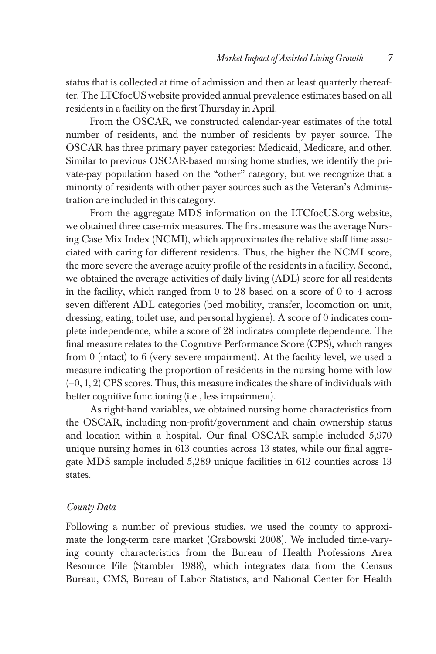status that is collected at time of admission and then at least quarterly thereafter. The LTCfocUS website provided annual prevalence estimates based on all residents in a facility on the first Thursday in April.

From the OSCAR, we constructed calendar-year estimates of the total number of residents, and the number of residents by payer source. The OSCAR has three primary payer categories: Medicaid, Medicare, and other. Similar to previous OSCAR-based nursing home studies, we identify the private-pay population based on the "other" category, but we recognize that a minority of residents with other payer sources such as the Veteran's Administration are included in this category.

From the aggregate MDS information on the LTCfocUS.org website, we obtained three case-mix measures. The first measure was the average Nursing Case Mix Index (NCMI), which approximates the relative staff time associated with caring for different residents. Thus, the higher the NCMI score, the more severe the average acuity profile of the residents in a facility. Second, we obtained the average activities of daily living (ADL) score for all residents in the facility, which ranged from 0 to 28 based on a score of 0 to 4 across seven different ADL categories (bed mobility, transfer, locomotion on unit, dressing, eating, toilet use, and personal hygiene). A score of 0 indicates complete independence, while a score of 28 indicates complete dependence. The final measure relates to the Cognitive Performance Score (CPS), which ranges from 0 (intact) to 6 (very severe impairment). At the facility level, we used a measure indicating the proportion of residents in the nursing home with low  $(=0, 1, 2)$  CPS scores. Thus, this measure indicates the share of individuals with better cognitive functioning (i.e., less impairment).

As right-hand variables, we obtained nursing home characteristics from the OSCAR, including non-profit/government and chain ownership status and location within a hospital. Our final OSCAR sample included 5,970 unique nursing homes in 613 counties across 13 states, while our final aggregate MDS sample included 5,289 unique facilities in 612 counties across 13 states.

#### County Data

Following a number of previous studies, we used the county to approximate the long-term care market (Grabowski 2008). We included time-varying county characteristics from the Bureau of Health Professions Area Resource File (Stambler 1988), which integrates data from the Census Bureau, CMS, Bureau of Labor Statistics, and National Center for Health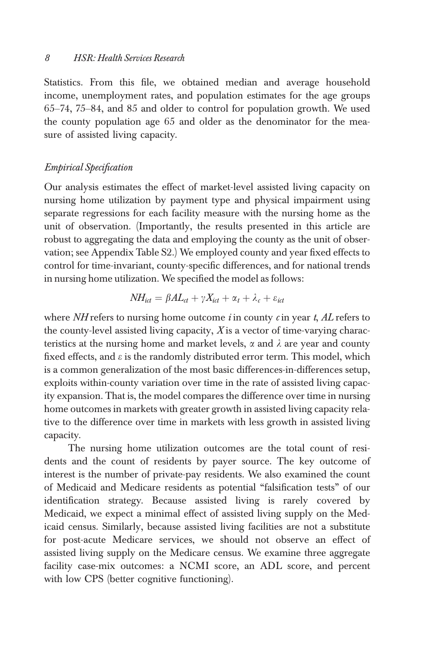Statistics. From this file, we obtained median and average household income, unemployment rates, and population estimates for the age groups 65–74, 75–84, and 85 and older to control for population growth. We used the county population age 65 and older as the denominator for the measure of assisted living capacity.

#### Empirical Specification

Our analysis estimates the effect of market-level assisted living capacity on nursing home utilization by payment type and physical impairment using separate regressions for each facility measure with the nursing home as the unit of observation. (Importantly, the results presented in this article are robust to aggregating the data and employing the county as the unit of observation; see Appendix Table S2.) We employed county and year fixed effects to control for time-invariant, county-specific differences, and for national trends in nursing home utilization. We specified the model as follows:

$$
NH_{ict} = \beta A L_{ct} + \gamma X_{ict} + \alpha_t + \lambda_c + \varepsilon_{ict}
$$

where  $NH$  refers to nursing home outcome *i* in county  $c$  in year  $t$ ,  $AL$  refers to the county-level assisted living capacity,  $X$  is a vector of time-varying characteristics at the nursing home and market levels,  $\alpha$  and  $\lambda$  are year and county fixed effects, and  $\varepsilon$  is the randomly distributed error term. This model, which is a common generalization of the most basic differences-in-differences setup, exploits within-county variation over time in the rate of assisted living capacity expansion. That is, the model compares the difference over time in nursing home outcomes in markets with greater growth in assisted living capacity relative to the difference over time in markets with less growth in assisted living capacity.

The nursing home utilization outcomes are the total count of residents and the count of residents by payer source. The key outcome of interest is the number of private-pay residents. We also examined the count of Medicaid and Medicare residents as potential "falsification tests" of our identification strategy. Because assisted living is rarely covered by Medicaid, we expect a minimal effect of assisted living supply on the Medicaid census. Similarly, because assisted living facilities are not a substitute for post-acute Medicare services, we should not observe an effect of assisted living supply on the Medicare census. We examine three aggregate facility case-mix outcomes: a NCMI score, an ADL score, and percent with low CPS (better cognitive functioning).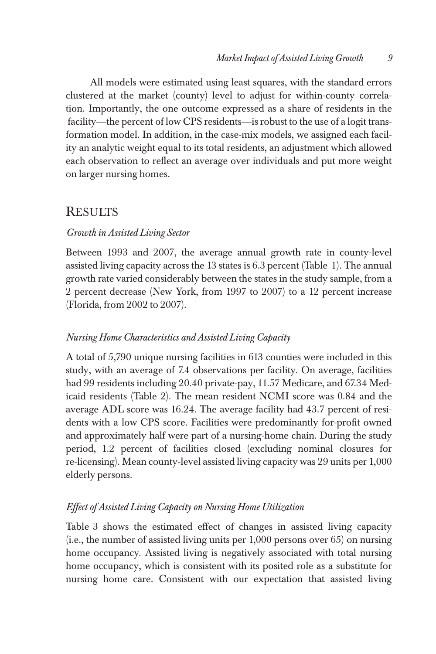All models were estimated using least squares, with the standard errors clustered at the market (county) level to adjust for within-county correlation. Importantly, the one outcome expressed as a share of residents in the facility—the percent of low CPS residents—is robust to the use of a logit transformation model. In addition, in the case-mix models, we assigned each facility an analytic weight equal to its total residents, an adjustment which allowed each observation to reflect an average over individuals and put more weight on larger nursing homes.

## RESULTS

#### Growth in Assisted Living Sector

Between 1993 and 2007, the average annual growth rate in county-level assisted living capacity across the 13 states is 6.3 percent (Table 1). The annual growth rate varied considerably between the states in the study sample, from a 2 percent decrease (New York, from 1997 to 2007) to a 12 percent increase (Florida, from 2002 to 2007).

#### Nursing Home Characteristics and Assisted Living Capacity

A total of 5,790 unique nursing facilities in 613 counties were included in this study, with an average of 7.4 observations per facility. On average, facilities had 99 residents including 20.40 private-pay, 11.57 Medicare, and 67.34 Medicaid residents (Table 2). The mean resident NCMI score was 0.84 and the average ADL score was 16.24. The average facility had 43.7 percent of residents with a low CPS score. Facilities were predominantly for-profit owned and approximately half were part of a nursing-home chain. During the study period, 1.2 percent of facilities closed (excluding nominal closures for re-licensing). Mean county-level assisted living capacity was 29 units per 1,000 elderly persons.

#### Effect of Assisted Living Capacity on Nursing Home Utilization

Table 3 shows the estimated effect of changes in assisted living capacity (i.e., the number of assisted living units per 1,000 persons over 65) on nursing home occupancy. Assisted living is negatively associated with total nursing home occupancy, which is consistent with its posited role as a substitute for nursing home care. Consistent with our expectation that assisted living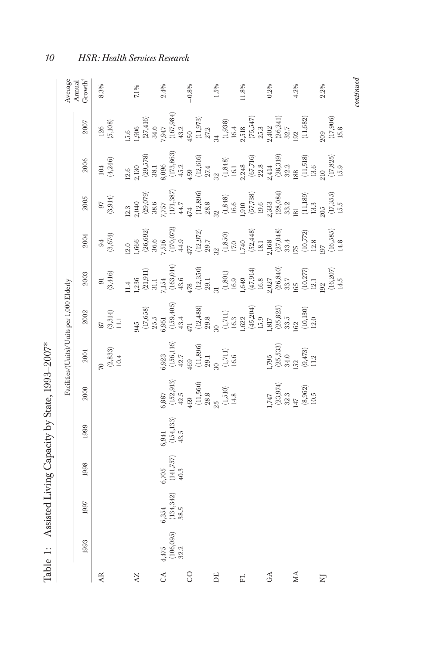|                |                            |                                                               |                                   | Table 1: Assisted Living Capacity by State, 1993-2007*        |                                                                                                                                                                                                                                                                                                                                                                                                                                      |                                                                                                    |                                                                                                                                                                                                                                                                                          |                                                                                                                                                                                                                                                                           |                                                                                                                                                                                                             |                                                                                                                                                                                                                                                                                                                     |                                                                                                                                                                                                                                                                                                   |                                                                                                                                                                                                                                                                               |                             |
|----------------|----------------------------|---------------------------------------------------------------|-----------------------------------|---------------------------------------------------------------|--------------------------------------------------------------------------------------------------------------------------------------------------------------------------------------------------------------------------------------------------------------------------------------------------------------------------------------------------------------------------------------------------------------------------------------|----------------------------------------------------------------------------------------------------|------------------------------------------------------------------------------------------------------------------------------------------------------------------------------------------------------------------------------------------------------------------------------------------|---------------------------------------------------------------------------------------------------------------------------------------------------------------------------------------------------------------------------------------------------------------------------|-------------------------------------------------------------------------------------------------------------------------------------------------------------------------------------------------------------|---------------------------------------------------------------------------------------------------------------------------------------------------------------------------------------------------------------------------------------------------------------------------------------------------------------------|---------------------------------------------------------------------------------------------------------------------------------------------------------------------------------------------------------------------------------------------------------------------------------------------------|-------------------------------------------------------------------------------------------------------------------------------------------------------------------------------------------------------------------------------------------------------------------------------|-----------------------------|
|                |                            |                                                               |                                   |                                                               |                                                                                                                                                                                                                                                                                                                                                                                                                                      |                                                                                                    | Facilities/(Units)/Units per 1,000 Elderly                                                                                                                                                                                                                                               |                                                                                                                                                                                                                                                                           |                                                                                                                                                                                                             |                                                                                                                                                                                                                                                                                                                     |                                                                                                                                                                                                                                                                                                   |                                                                                                                                                                                                                                                                               |                             |
|                | 1993                       | 1997                                                          | 1998                              | 1999                                                          | 2000                                                                                                                                                                                                                                                                                                                                                                                                                                 | 2001                                                                                               | 2002                                                                                                                                                                                                                                                                                     | 2003                                                                                                                                                                                                                                                                      | 2004                                                                                                                                                                                                        | 2005                                                                                                                                                                                                                                                                                                                | 2006                                                                                                                                                                                                                                                                                              | 2007                                                                                                                                                                                                                                                                          | Average<br>Annual<br>Growth |
| AR             |                            |                                                               |                                   |                                                               |                                                                                                                                                                                                                                                                                                                                                                                                                                      |                                                                                                    |                                                                                                                                                                                                                                                                                          |                                                                                                                                                                                                                                                                           |                                                                                                                                                                                                             |                                                                                                                                                                                                                                                                                                                     |                                                                                                                                                                                                                                                                                                   |                                                                                                                                                                                                                                                                               | 8.3%                        |
|                |                            |                                                               |                                   |                                                               |                                                                                                                                                                                                                                                                                                                                                                                                                                      | 70<br>(2,833)<br>10.4                                                                              | $\begin{array}{c} 87 \\ (3,314) \\ 11.1 \end{array}$                                                                                                                                                                                                                                     | $^{91}_{(3,416)}$                                                                                                                                                                                                                                                         | (3,674)                                                                                                                                                                                                     | (3.914)                                                                                                                                                                                                                                                                                                             | $104$<br>(4,246)                                                                                                                                                                                                                                                                                  | $126$<br>(5,108)                                                                                                                                                                                                                                                              |                             |
|                |                            |                                                               |                                   |                                                               |                                                                                                                                                                                                                                                                                                                                                                                                                                      |                                                                                                    |                                                                                                                                                                                                                                                                                          |                                                                                                                                                                                                                                                                           |                                                                                                                                                                                                             |                                                                                                                                                                                                                                                                                                                     |                                                                                                                                                                                                                                                                                                   |                                                                                                                                                                                                                                                                               |                             |
| AZ.            |                            |                                                               |                                   |                                                               |                                                                                                                                                                                                                                                                                                                                                                                                                                      |                                                                                                    |                                                                                                                                                                                                                                                                                          |                                                                                                                                                                                                                                                                           |                                                                                                                                                                                                             |                                                                                                                                                                                                                                                                                                                     |                                                                                                                                                                                                                                                                                                   |                                                                                                                                                                                                                                                                               | $7.1\%$                     |
|                |                            |                                                               |                                   |                                                               |                                                                                                                                                                                                                                                                                                                                                                                                                                      |                                                                                                    | $\begin{array}{l} (17,658)\\ (17,658)\\ (35.5\\ (43.4)\\ (12,488)\\ (12,488)\\ (12,488)\\ (16,711)\\ (16,711)\\ (16,720)\\ (16,720)\\ (16,720)\\ (16,720)\\ (16,720)\\ (16,720)\\ (25,825)\\ (20,130)\\ (10,130)\\ (10,130)\\ (10,130)\\ (10,130)\\ (10,130)\\ (10,130)\\ (10,130)\\ (1$ |                                                                                                                                                                                                                                                                           |                                                                                                                                                                                                             |                                                                                                                                                                                                                                                                                                                     |                                                                                                                                                                                                                                                                                                   |                                                                                                                                                                                                                                                                               |                             |
| S              |                            |                                                               |                                   |                                                               |                                                                                                                                                                                                                                                                                                                                                                                                                                      |                                                                                                    |                                                                                                                                                                                                                                                                                          |                                                                                                                                                                                                                                                                           |                                                                                                                                                                                                             |                                                                                                                                                                                                                                                                                                                     |                                                                                                                                                                                                                                                                                                   |                                                                                                                                                                                                                                                                               | $2.4\%$                     |
|                | !,475<br>(106,095)<br>32.2 | $\begin{array}{c} 6{,}354 \\ (134{,}342) \\ 38.5 \end{array}$ | $\frac{5,705}{(141,757)}$<br>40.3 | $\begin{array}{c} 6{,}941 \\ (154{,}133) \\ 43.5 \end{array}$ | $\begin{array}{l} \vspace{2mm} \vspace{2mm} \vspace{2mm} \begin{array}{l} \vspace{2mm} \vspace{2mm} \vspace{2mm} \vspace{2mm} \vspace{2mm} \vspace{2mm} \vspace{2mm} \vspace{2mm} \vspace{2mm} \vspace{2mm} \vspace{2mm} \vspace{2mm} \vspace{2mm} \vspace{2mm} \vspace{2mm} \vspace{2mm} \vspace{2mm} \vspace{2mm} \vspace{2mm} \vspace{2mm} \vspace{2mm} \vspace{2mm} \vspace{2mm} \vspace{2mm} \vspace{2mm} \vspace{2mm} \vspace$ | 6,923<br>(156,116)<br>(156,116)<br>42.7<br>429.1<br>(11,21)<br>30<br>(1,711)<br>(1,711)<br>(1,711) |                                                                                                                                                                                                                                                                                          |                                                                                                                                                                                                                                                                           |                                                                                                                                                                                                             |                                                                                                                                                                                                                                                                                                                     |                                                                                                                                                                                                                                                                                                   |                                                                                                                                                                                                                                                                               |                             |
|                |                            |                                                               |                                   |                                                               |                                                                                                                                                                                                                                                                                                                                                                                                                                      |                                                                                                    |                                                                                                                                                                                                                                                                                          |                                                                                                                                                                                                                                                                           |                                                                                                                                                                                                             |                                                                                                                                                                                                                                                                                                                     |                                                                                                                                                                                                                                                                                                   |                                                                                                                                                                                                                                                                               |                             |
| $\overline{C}$ |                            |                                                               |                                   |                                                               |                                                                                                                                                                                                                                                                                                                                                                                                                                      |                                                                                                    |                                                                                                                                                                                                                                                                                          |                                                                                                                                                                                                                                                                           |                                                                                                                                                                                                             |                                                                                                                                                                                                                                                                                                                     |                                                                                                                                                                                                                                                                                                   |                                                                                                                                                                                                                                                                               | $-0.8\%$                    |
|                |                            |                                                               |                                   |                                                               |                                                                                                                                                                                                                                                                                                                                                                                                                                      |                                                                                                    |                                                                                                                                                                                                                                                                                          |                                                                                                                                                                                                                                                                           |                                                                                                                                                                                                             |                                                                                                                                                                                                                                                                                                                     |                                                                                                                                                                                                                                                                                                   |                                                                                                                                                                                                                                                                               |                             |
|                |                            |                                                               |                                   |                                                               |                                                                                                                                                                                                                                                                                                                                                                                                                                      |                                                                                                    |                                                                                                                                                                                                                                                                                          |                                                                                                                                                                                                                                                                           |                                                                                                                                                                                                             |                                                                                                                                                                                                                                                                                                                     |                                                                                                                                                                                                                                                                                                   |                                                                                                                                                                                                                                                                               |                             |
| DE             |                            |                                                               |                                   |                                                               |                                                                                                                                                                                                                                                                                                                                                                                                                                      |                                                                                                    |                                                                                                                                                                                                                                                                                          |                                                                                                                                                                                                                                                                           |                                                                                                                                                                                                             |                                                                                                                                                                                                                                                                                                                     |                                                                                                                                                                                                                                                                                                   |                                                                                                                                                                                                                                                                               | $1.5\%$                     |
|                |                            |                                                               |                                   |                                                               |                                                                                                                                                                                                                                                                                                                                                                                                                                      |                                                                                                    |                                                                                                                                                                                                                                                                                          |                                                                                                                                                                                                                                                                           |                                                                                                                                                                                                             |                                                                                                                                                                                                                                                                                                                     |                                                                                                                                                                                                                                                                                                   |                                                                                                                                                                                                                                                                               |                             |
|                |                            |                                                               |                                   |                                                               |                                                                                                                                                                                                                                                                                                                                                                                                                                      |                                                                                                    |                                                                                                                                                                                                                                                                                          |                                                                                                                                                                                                                                                                           |                                                                                                                                                                                                             |                                                                                                                                                                                                                                                                                                                     |                                                                                                                                                                                                                                                                                                   |                                                                                                                                                                                                                                                                               |                             |
| EL,            |                            |                                                               |                                   |                                                               |                                                                                                                                                                                                                                                                                                                                                                                                                                      |                                                                                                    |                                                                                                                                                                                                                                                                                          |                                                                                                                                                                                                                                                                           |                                                                                                                                                                                                             |                                                                                                                                                                                                                                                                                                                     |                                                                                                                                                                                                                                                                                                   |                                                                                                                                                                                                                                                                               | 1.8%                        |
|                |                            |                                                               |                                   |                                                               |                                                                                                                                                                                                                                                                                                                                                                                                                                      |                                                                                                    |                                                                                                                                                                                                                                                                                          |                                                                                                                                                                                                                                                                           |                                                                                                                                                                                                             |                                                                                                                                                                                                                                                                                                                     |                                                                                                                                                                                                                                                                                                   |                                                                                                                                                                                                                                                                               |                             |
|                |                            |                                                               |                                   |                                                               |                                                                                                                                                                                                                                                                                                                                                                                                                                      |                                                                                                    |                                                                                                                                                                                                                                                                                          |                                                                                                                                                                                                                                                                           |                                                                                                                                                                                                             |                                                                                                                                                                                                                                                                                                                     |                                                                                                                                                                                                                                                                                                   |                                                                                                                                                                                                                                                                               |                             |
| $\mathfrak{S}$ |                            |                                                               |                                   |                                                               |                                                                                                                                                                                                                                                                                                                                                                                                                                      |                                                                                                    |                                                                                                                                                                                                                                                                                          |                                                                                                                                                                                                                                                                           |                                                                                                                                                                                                             |                                                                                                                                                                                                                                                                                                                     |                                                                                                                                                                                                                                                                                                   |                                                                                                                                                                                                                                                                               | $0.2\%$                     |
|                |                            |                                                               |                                   |                                                               |                                                                                                                                                                                                                                                                                                                                                                                                                                      |                                                                                                    |                                                                                                                                                                                                                                                                                          |                                                                                                                                                                                                                                                                           |                                                                                                                                                                                                             |                                                                                                                                                                                                                                                                                                                     |                                                                                                                                                                                                                                                                                                   |                                                                                                                                                                                                                                                                               |                             |
|                |                            |                                                               |                                   |                                                               |                                                                                                                                                                                                                                                                                                                                                                                                                                      |                                                                                                    |                                                                                                                                                                                                                                                                                          |                                                                                                                                                                                                                                                                           |                                                                                                                                                                                                             |                                                                                                                                                                                                                                                                                                                     |                                                                                                                                                                                                                                                                                                   |                                                                                                                                                                                                                                                                               |                             |
| MA             |                            |                                                               |                                   |                                                               |                                                                                                                                                                                                                                                                                                                                                                                                                                      |                                                                                                    |                                                                                                                                                                                                                                                                                          |                                                                                                                                                                                                                                                                           |                                                                                                                                                                                                             |                                                                                                                                                                                                                                                                                                                     |                                                                                                                                                                                                                                                                                                   |                                                                                                                                                                                                                                                                               | $4.2\%$                     |
|                |                            |                                                               |                                   |                                                               | $\begin{array}{l} 1.747\\ (23,974)\\ (32,3\\ 147\\ (8,962)\\ 10.5 \end{array}$                                                                                                                                                                                                                                                                                                                                                       | $\begin{array}{l} 1{,}795 \\ (25,533) \\ 34.0 \\ 152 \\ (9,473) \\ 11.2 \end{array}$               |                                                                                                                                                                                                                                                                                          |                                                                                                                                                                                                                                                                           |                                                                                                                                                                                                             |                                                                                                                                                                                                                                                                                                                     |                                                                                                                                                                                                                                                                                                   |                                                                                                                                                                                                                                                                               |                             |
|                |                            |                                                               |                                   |                                                               |                                                                                                                                                                                                                                                                                                                                                                                                                                      |                                                                                                    |                                                                                                                                                                                                                                                                                          |                                                                                                                                                                                                                                                                           |                                                                                                                                                                                                             |                                                                                                                                                                                                                                                                                                                     |                                                                                                                                                                                                                                                                                                   |                                                                                                                                                                                                                                                                               |                             |
| $\Sigma$       |                            |                                                               |                                   |                                                               |                                                                                                                                                                                                                                                                                                                                                                                                                                      |                                                                                                    |                                                                                                                                                                                                                                                                                          |                                                                                                                                                                                                                                                                           |                                                                                                                                                                                                             |                                                                                                                                                                                                                                                                                                                     |                                                                                                                                                                                                                                                                                                   |                                                                                                                                                                                                                                                                               | $2.2\%$                     |
|                |                            |                                                               |                                   |                                                               |                                                                                                                                                                                                                                                                                                                                                                                                                                      |                                                                                                    |                                                                                                                                                                                                                                                                                          | $\begin{array}{cccc} 11.4 & 12.36 & 14.4 & 14.36 & 14.4 & 14.36 & 14.4 & 14.36 & 14.36 & 14.36 & 14.36 & 14.36 & 14.36 & 14.36 & 14.36 & 14.36 & 14.36 & 14.36 & 14.36 & 14.36 & 14.36 & 14.36 & 14.36 & 14.36 & 14.36 & 14.36 & 14.36 & 14.36 & 14.36 & 14.36 & 14.36 &$ | $[2.0\n1.666\n(26,692)\n(27,316\n(170,072)\n(170,072)\n(170,072)\n(170,072)\n(170,072)\n(170,072)\n(170,072)\n(170,072)\n(170,072)\n(170,072)\n(170,072)\n(170,072)\n(170,072)\n(170,072)\n(170,072)\n(170$ | $[2.3pt] \begin{array}{l} 12.3 \\ 2,040 \\ (29,079) \\ (17,138) \\ (17,138) \\ (18,80) \\ (18,80) \\ (18,80) \\ (1,101) \\ (1,010) \\ (1,010) \\ (1,010) \\ (1,010) \\ (1,010) \\ (1,010) \\ (1,010) \\ (1,010) \\ (1,010) \\ (1,011) \\ (1,118) \\ (1,133) \\ (1,135) \\ (1,135) \\ (1,135) \\ (1,135) \\ (1,135)$ | $\begin{array}{l} 12.6 \\ 2,130 \\ 2,030 \\ 8,005 \\ 8,005 \\ 4,52 \\ 4,53 \\ 12,616 \\ 12,616 \\ 13,48 \\ 14,348 \\ 14,348 \\ 15,136 \\ 16,134 \\ 16,148 \\ 2,248 \\ 2,248 \\ 2,248 \\ 2,32,23 \\ 15,15 \\ 16,6 \\ 11,518 \\ 16,6 \\ 11,518 \\ 16,6 \\ 11,518 \\ 16,6 \\ 17,825 \\ 17,982 \\ 18$ | 15.6<br>1,906<br>1,946<br>(27,416)<br>(27,384)<br>43.2<br>43.2<br>43.2<br>(1,938)<br>(5,547)<br>(26,241)<br>(26,241)<br>(26,241)<br>(26,241)<br>(26,241)<br>(11,882)<br>(11,882)<br>(11,893)<br>(11,893)<br>(11,893)<br>(11,893)<br>(10,945)<br>(19,547)<br>(20,241)<br>(10,9 |                             |
|                |                            |                                                               |                                   |                                                               |                                                                                                                                                                                                                                                                                                                                                                                                                                      |                                                                                                    |                                                                                                                                                                                                                                                                                          |                                                                                                                                                                                                                                                                           |                                                                                                                                                                                                             |                                                                                                                                                                                                                                                                                                                     |                                                                                                                                                                                                                                                                                                   |                                                                                                                                                                                                                                                                               |                             |

continued

# 10 HSR: Health Services Research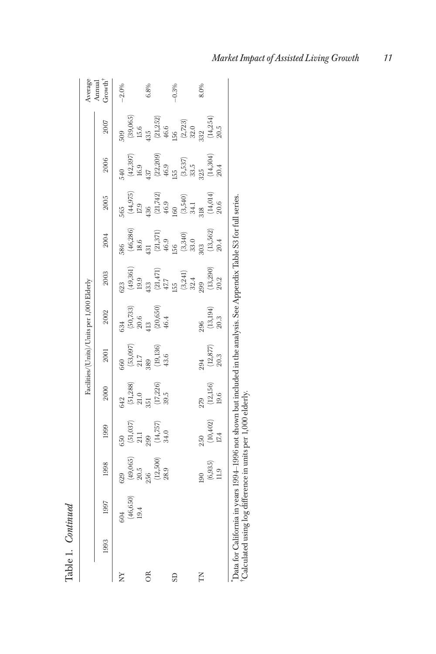|    |                        |                                                                                                                      |                                                                         |                                                                                     |                                                                    |                                                                            | Facilities/(Units)/Units per 1.000 Elderly                                        |                                                                                            |                                                                                                            |                                                                                                                                                                                                                                                                                                                 |                                                                                                                                     |                                                                                                                                                                                                                                                                                                                                                                    | Average<br>Annual |
|----|------------------------|----------------------------------------------------------------------------------------------------------------------|-------------------------------------------------------------------------|-------------------------------------------------------------------------------------|--------------------------------------------------------------------|----------------------------------------------------------------------------|-----------------------------------------------------------------------------------|--------------------------------------------------------------------------------------------|------------------------------------------------------------------------------------------------------------|-----------------------------------------------------------------------------------------------------------------------------------------------------------------------------------------------------------------------------------------------------------------------------------------------------------------|-------------------------------------------------------------------------------------------------------------------------------------|--------------------------------------------------------------------------------------------------------------------------------------------------------------------------------------------------------------------------------------------------------------------------------------------------------------------------------------------------------------------|-------------------|
|    | 1993                   | 1997                                                                                                                 | 1998                                                                    | 1999                                                                                | 2000                                                               | 2001                                                                       | 2002                                                                              | 2003                                                                                       | 2004                                                                                                       | 2005                                                                                                                                                                                                                                                                                                            | 2006                                                                                                                                | 2007                                                                                                                                                                                                                                                                                                                                                               | Growth            |
| È  |                        | 604                                                                                                                  |                                                                         |                                                                                     |                                                                    |                                                                            |                                                                                   |                                                                                            |                                                                                                            |                                                                                                                                                                                                                                                                                                                 |                                                                                                                                     |                                                                                                                                                                                                                                                                                                                                                                    | $-2.0%$           |
|    |                        | $\begin{array}{c} (46,650) \\ 19.4 \end{array}$                                                                      | $(49,065)$<br>$(49,065)$<br>$20.5$<br>$256$<br>$(12,500)$<br>$(12,500)$ | $\begin{array}{c} (51,037)\ (51,137)\ 20\ 29\ (14,757)\ (14,757)\ 34.0 \end{array}$ | $642$<br>$(51,288)$<br>$21.0$<br>$351$<br>$(17,226)$<br>$(17,226)$ | $\begin{array}{c} (53,097) \\ 21.7 \\ 389 \\ (19,136) \\ 43.6 \end{array}$ | $\begin{array}{l} (50,733)\\ (50,733)\\ 20.6\\ 413\\ (20,650)\\ 46.4 \end{array}$ |                                                                                            |                                                                                                            |                                                                                                                                                                                                                                                                                                                 |                                                                                                                                     |                                                                                                                                                                                                                                                                                                                                                                    | 6.8%              |
|    |                        |                                                                                                                      |                                                                         |                                                                                     |                                                                    |                                                                            |                                                                                   |                                                                                            |                                                                                                            |                                                                                                                                                                                                                                                                                                                 |                                                                                                                                     |                                                                                                                                                                                                                                                                                                                                                                    |                   |
| SD |                        |                                                                                                                      |                                                                         |                                                                                     |                                                                    |                                                                            |                                                                                   |                                                                                            |                                                                                                            |                                                                                                                                                                                                                                                                                                                 |                                                                                                                                     |                                                                                                                                                                                                                                                                                                                                                                    | 0.3%              |
|    |                        |                                                                                                                      |                                                                         |                                                                                     |                                                                    |                                                                            |                                                                                   |                                                                                            |                                                                                                            |                                                                                                                                                                                                                                                                                                                 |                                                                                                                                     |                                                                                                                                                                                                                                                                                                                                                                    |                   |
| E  |                        |                                                                                                                      | $\begin{array}{c} 190 \\ (6,935) \\ 11.9 \end{array}$                   | $\begin{array}{c} 250 \\ (10,402) \\ \Pi.4 \end{array}$                             | $\begin{array}{c} 279 \\ (12,156) \\ 19.6 \end{array}$             | $\begin{array}{c} 294 \\ (12,877) \\ 20.3 \end{array}$                     | $\begin{array}{c} 296 \\ (13,194) \\ 20.3 \end{array}$                            | 623<br>(49,361)<br>(49,361)<br>19.9<br>19.9<br>(13,241)<br>155<br>(3,241)<br>30.2<br>200.2 | 586<br>(46,286)<br>18.6<br>18.6<br>(21,371)<br>46.9<br>156<br>33.0<br>33.0<br>33.0<br>(13,562)<br>(13,562) | $\begin{array}{l} \vspace{2mm} (44,975) \\ \vspace{2mm} (44,975) \\ \vspace{2mm} 17.9 \\ \vspace{2mm} (21,742) \\ \vspace{2mm} (6.9 \\ \vspace{2mm} 160 \\ \vspace{2mm} (3,540) \\ \vspace{2mm} (3,541) \\ \vspace{2mm} (14,014) \\ \vspace{2mm} (14,014) \\ \vspace{2mm} (14,014) \\ \vspace{2mm} \end{array}$ | $\begin{array}{l} (42,397)\\ 16.9\\ 16.9\\ 22,200)\\ 46.9\\ 115\\ 155\\ (3,537)\\ (3,537)\\ (14,304)\\ (14,304)\\ 20.4 \end{array}$ | $\begin{array}{l} \vspace{2mm} (39,065) \\ \vspace{2mm} (39,065) \\ \vspace{2mm} 15.6 \\ \vspace{2mm} (21,252) \\ \vspace{2mm} (46.6 \\ \vspace{2mm} (5,723) \\ \vspace{2mm} (5,723) \\ \vspace{2mm} (5,723) \\ \vspace{2mm} (14,254) \\ \vspace{2mm} (14,254) \\ \vspace{2mm} (14,254) \\ \vspace{2mm} (14,254) \\ \vspace{2mm} (14,254) \\ \vspace{2mm} (14,254$ | 8.0%              |
|    |                        |                                                                                                                      |                                                                         |                                                                                     |                                                                    |                                                                            |                                                                                   |                                                                                            |                                                                                                            |                                                                                                                                                                                                                                                                                                                 |                                                                                                                                     |                                                                                                                                                                                                                                                                                                                                                                    |                   |
|    | Calculated using log o | Data for California in years 1994–1996 not shown but included in the analysis. See Appendix Table S3 for full series |                                                                         | ice in units per 1,000 elderly                                                      |                                                                    |                                                                            |                                                                                   |                                                                                            |                                                                                                            |                                                                                                                                                                                                                                                                                                                 |                                                                                                                                     |                                                                                                                                                                                                                                                                                                                                                                    |                   |

Table 1. Continued

Table 1. Continued

Market Impact of Assisted Living Growth 11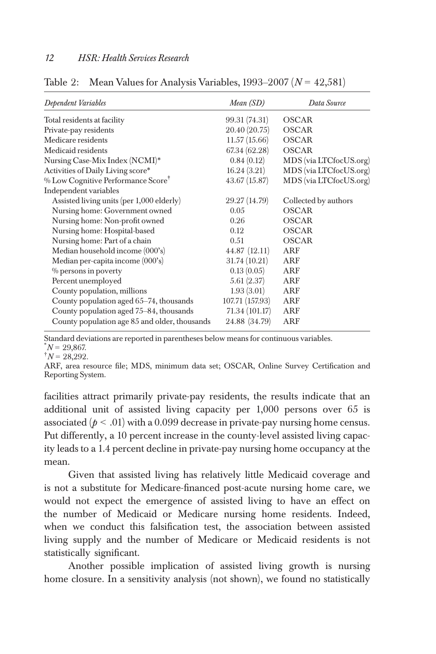#### 12 HSR: Health Services Research

| Dependent Variables                            | Mean(SD)        | Data Source            |
|------------------------------------------------|-----------------|------------------------|
| Total residents at facility                    | 99.31 (74.31)   | <b>OSCAR</b>           |
| Private-pay residents                          | 20.40 (20.75)   | <b>OSCAR</b>           |
| Medicare residents                             | 11.57(15.66)    | <b>OSCAR</b>           |
| Medicaid residents                             | 67.34 (62.28)   | <b>OSCAR</b>           |
| Nursing Case-Mix Index (NCMI)*                 | 0.84(0.12)      | MDS (via LTCfocUS.org) |
| Activities of Daily Living score*              | 16.24(3.21)     | MDS (via LTCfocUS.org) |
| % Low Cognitive Performance Score <sup>†</sup> | 43.67 (15.87)   | MDS (via LTCfocUS.org) |
| Independent variables                          |                 |                        |
| Assisted living units (per 1,000 elderly)      | 29.27 (14.79)   | Collected by authors   |
| Nursing home: Government owned                 | 0.05            | <b>OSCAR</b>           |
| Nursing home: Non-profit owned                 | 0.26            | <b>OSCAR</b>           |
| Nursing home: Hospital-based                   | 0.12            | <b>OSCAR</b>           |
| Nursing home: Part of a chain                  | 0.51            | <b>OSCAR</b>           |
| Median household income (000's)                | 44.87(12.11)    | ARF                    |
| Median per-capita income $(000)$ 's)           | 31.74(10.21)    | ARF                    |
| $%$ persons in poverty                         | 0.13(0.05)      | ARF                    |
| Percent unemployed                             | 5.61(2.37)      | ARF                    |
| County population, millions                    | 1.93(3.01)      | ARF                    |
| County population aged 65–74, thousands        | 107.71 (157.93) | ARF                    |
| County population aged 75–84, thousands        | 71.34(101.17)   | ARF                    |
| County population age 85 and older, thousands  | 24.88 (34.79)   | ARF                    |

Table 2: Mean Values for Analysis Variables,  $1993-2007 (N = 42,581)$ 

Standard deviations are reported in parentheses below means for continuous variables.

 $N = 29,867$ .  $N = 28,292.$ 

ARF, area resource file; MDS, minimum data set; OSCAR, Online Survey Certification and Reporting System.

facilities attract primarily private-pay residents, the results indicate that an additional unit of assisted living capacity per 1,000 persons over 65 is associated ( $p < .01$ ) with a 0.099 decrease in private-pay nursing home census. Put differently, a 10 percent increase in the county-level assisted living capacity leads to a 1.4 percent decline in private-pay nursing home occupancy at the mean.

Given that assisted living has relatively little Medicaid coverage and is not a substitute for Medicare-financed post-acute nursing home care, we would not expect the emergence of assisted living to have an effect on the number of Medicaid or Medicare nursing home residents. Indeed, when we conduct this falsification test, the association between assisted living supply and the number of Medicare or Medicaid residents is not statistically significant.

Another possible implication of assisted living growth is nursing home closure. In a sensitivity analysis (not shown), we found no statistically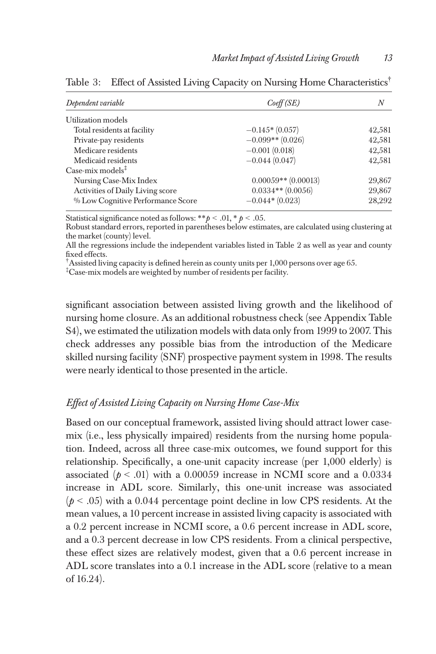| Dependent variable                | Coeff(SE)             | N      |
|-----------------------------------|-----------------------|--------|
| Utilization models                |                       |        |
| Total residents at facility       | $-0.145*(0.057)$      | 42,581 |
| Private-pay residents             | $-0.099**$ (0.026)    | 42,581 |
| Medicare residents                | $-0.001(0.018)$       | 42,581 |
| Medicaid residents                | $-0.044(0.047)$       | 42,581 |
| Case-mix models $\ddagger$        |                       |        |
| Nursing Case-Mix Index            | $0.00059**$ (0.00013) | 29,867 |
| Activities of Daily Living score  | $0.0334**$ (0.0056)   | 29,867 |
| % Low Cognitive Performance Score | $-0.044*(0.023)$      | 28,292 |

Table 3: Effect of Assisted Living Capacity on Nursing Home Characteristics<sup>†</sup>

Statistical significance noted as follows: \*\* $p < .01, * p < .05$ .

Robust standard errors, reported in parentheses below estimates, are calculated using clustering at the market (county) level.

All the regressions include the independent variables listed in Table 2 as well as year and county fixed effects.

† Assisted living capacity is defined herein as county units per 1,000 persons over age 65. ‡

Case-mix models are weighted by number of residents per facility.

significant association between assisted living growth and the likelihood of nursing home closure. As an additional robustness check (see Appendix Table S4), we estimated the utilization models with data only from 1999 to 2007. This check addresses any possible bias from the introduction of the Medicare skilled nursing facility (SNF) prospective payment system in 1998. The results were nearly identical to those presented in the article.

#### Effect of Assisted Living Capacity on Nursing Home Case-Mix

Based on our conceptual framework, assisted living should attract lower casemix (i.e., less physically impaired) residents from the nursing home population. Indeed, across all three case-mix outcomes, we found support for this relationship. Specifically, a one-unit capacity increase (per 1,000 elderly) is associated ( $p < .01$ ) with a 0.00059 increase in NCMI score and a 0.0334 increase in ADL score. Similarly, this one-unit increase was associated  $(p < .05)$  with a 0.044 percentage point decline in low CPS residents. At the mean values, a 10 percent increase in assisted living capacity is associated with a 0.2 percent increase in NCMI score, a 0.6 percent increase in ADL score, and a 0.3 percent decrease in low CPS residents. From a clinical perspective, these effect sizes are relatively modest, given that a 0.6 percent increase in ADL score translates into a 0.1 increase in the ADL score (relative to a mean of 16.24).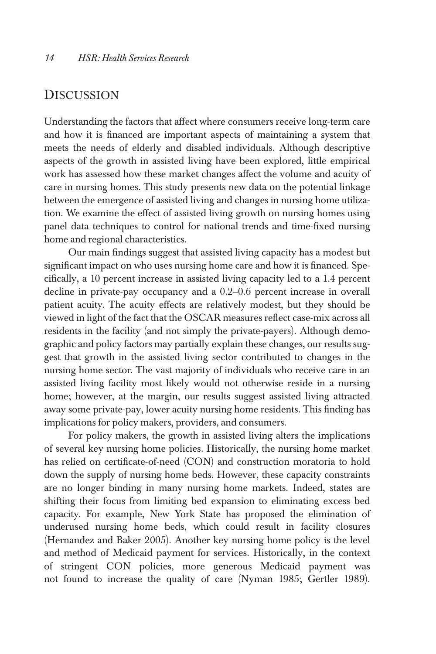## **DISCUSSION**

Understanding the factors that affect where consumers receive long-term care and how it is financed are important aspects of maintaining a system that meets the needs of elderly and disabled individuals. Although descriptive aspects of the growth in assisted living have been explored, little empirical work has assessed how these market changes affect the volume and acuity of care in nursing homes. This study presents new data on the potential linkage between the emergence of assisted living and changes in nursing home utilization. We examine the effect of assisted living growth on nursing homes using panel data techniques to control for national trends and time-fixed nursing home and regional characteristics.

Our main findings suggest that assisted living capacity has a modest but significant impact on who uses nursing home care and how it is financed. Specifically, a 10 percent increase in assisted living capacity led to a 1.4 percent decline in private-pay occupancy and a 0.2–0.6 percent increase in overall patient acuity. The acuity effects are relatively modest, but they should be viewed in light of the fact that the OSCAR measures reflect case-mix across all residents in the facility (and not simply the private-payers). Although demographic and policy factors may partially explain these changes, our results suggest that growth in the assisted living sector contributed to changes in the nursing home sector. The vast majority of individuals who receive care in an assisted living facility most likely would not otherwise reside in a nursing home; however, at the margin, our results suggest assisted living attracted away some private-pay, lower acuity nursing home residents. This finding has implications for policy makers, providers, and consumers.

For policy makers, the growth in assisted living alters the implications of several key nursing home policies. Historically, the nursing home market has relied on certificate-of-need (CON) and construction moratoria to hold down the supply of nursing home beds. However, these capacity constraints are no longer binding in many nursing home markets. Indeed, states are shifting their focus from limiting bed expansion to eliminating excess bed capacity. For example, New York State has proposed the elimination of underused nursing home beds, which could result in facility closures (Hernandez and Baker 2005). Another key nursing home policy is the level and method of Medicaid payment for services. Historically, in the context of stringent CON policies, more generous Medicaid payment was not found to increase the quality of care (Nyman 1985; Gertler 1989).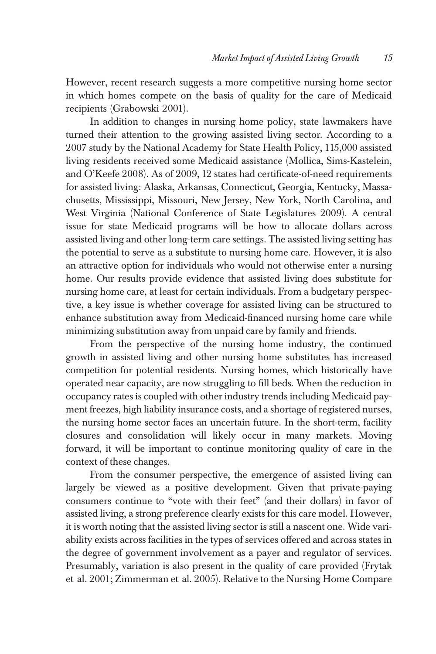However, recent research suggests a more competitive nursing home sector in which homes compete on the basis of quality for the care of Medicaid recipients (Grabowski 2001).

In addition to changes in nursing home policy, state lawmakers have turned their attention to the growing assisted living sector. According to a 2007 study by the National Academy for State Health Policy, 115,000 assisted living residents received some Medicaid assistance (Mollica, Sims-Kastelein, and O'Keefe 2008). As of 2009, 12 states had certificate-of-need requirements for assisted living: Alaska, Arkansas, Connecticut, Georgia, Kentucky, Massachusetts, Mississippi, Missouri, New Jersey, New York, North Carolina, and West Virginia (National Conference of State Legislatures 2009). A central issue for state Medicaid programs will be how to allocate dollars across assisted living and other long-term care settings. The assisted living setting has the potential to serve as a substitute to nursing home care. However, it is also an attractive option for individuals who would not otherwise enter a nursing home. Our results provide evidence that assisted living does substitute for nursing home care, at least for certain individuals. From a budgetary perspective, a key issue is whether coverage for assisted living can be structured to enhance substitution away from Medicaid-financed nursing home care while minimizing substitution away from unpaid care by family and friends.

From the perspective of the nursing home industry, the continued growth in assisted living and other nursing home substitutes has increased competition for potential residents. Nursing homes, which historically have operated near capacity, are now struggling to fill beds. When the reduction in occupancy rates is coupled with other industry trends including Medicaid payment freezes, high liability insurance costs, and a shortage of registered nurses, the nursing home sector faces an uncertain future. In the short-term, facility closures and consolidation will likely occur in many markets. Moving forward, it will be important to continue monitoring quality of care in the context of these changes.

From the consumer perspective, the emergence of assisted living can largely be viewed as a positive development. Given that private-paying consumers continue to "vote with their feet" (and their dollars) in favor of assisted living, a strong preference clearly exists for this care model. However, it is worth noting that the assisted living sector is still a nascent one. Wide variability exists across facilities in the types of services offered and across states in the degree of government involvement as a payer and regulator of services. Presumably, variation is also present in the quality of care provided (Frytak et al. 2001; Zimmerman et al. 2005). Relative to the Nursing Home Compare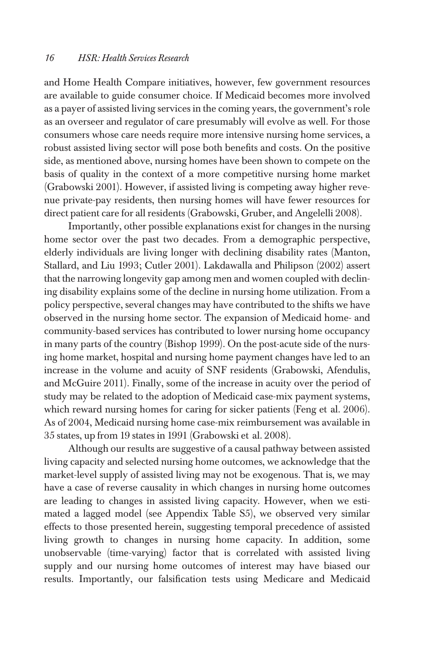and Home Health Compare initiatives, however, few government resources are available to guide consumer choice. If Medicaid becomes more involved as a payer of assisted living services in the coming years, the government's role as an overseer and regulator of care presumably will evolve as well. For those consumers whose care needs require more intensive nursing home services, a robust assisted living sector will pose both benefits and costs. On the positive side, as mentioned above, nursing homes have been shown to compete on the basis of quality in the context of a more competitive nursing home market (Grabowski 2001). However, if assisted living is competing away higher revenue private-pay residents, then nursing homes will have fewer resources for direct patient care for all residents (Grabowski, Gruber, and Angelelli 2008).

Importantly, other possible explanations exist for changes in the nursing home sector over the past two decades. From a demographic perspective, elderly individuals are living longer with declining disability rates (Manton, Stallard, and Liu 1993; Cutler 2001). Lakdawalla and Philipson (2002) assert that the narrowing longevity gap among men and women coupled with declining disability explains some of the decline in nursing home utilization. From a policy perspective, several changes may have contributed to the shifts we have observed in the nursing home sector. The expansion of Medicaid home- and community-based services has contributed to lower nursing home occupancy in many parts of the country (Bishop 1999). On the post-acute side of the nursing home market, hospital and nursing home payment changes have led to an increase in the volume and acuity of SNF residents (Grabowski, Afendulis, and McGuire 2011). Finally, some of the increase in acuity over the period of study may be related to the adoption of Medicaid case-mix payment systems, which reward nursing homes for caring for sicker patients (Feng et al. 2006). As of 2004, Medicaid nursing home case-mix reimbursement was available in 35 states, up from 19 states in 1991 (Grabowski et al. 2008).

Although our results are suggestive of a causal pathway between assisted living capacity and selected nursing home outcomes, we acknowledge that the market-level supply of assisted living may not be exogenous. That is, we may have a case of reverse causality in which changes in nursing home outcomes are leading to changes in assisted living capacity. However, when we estimated a lagged model (see Appendix Table S5), we observed very similar effects to those presented herein, suggesting temporal precedence of assisted living growth to changes in nursing home capacity. In addition, some unobservable (time-varying) factor that is correlated with assisted living supply and our nursing home outcomes of interest may have biased our results. Importantly, our falsification tests using Medicare and Medicaid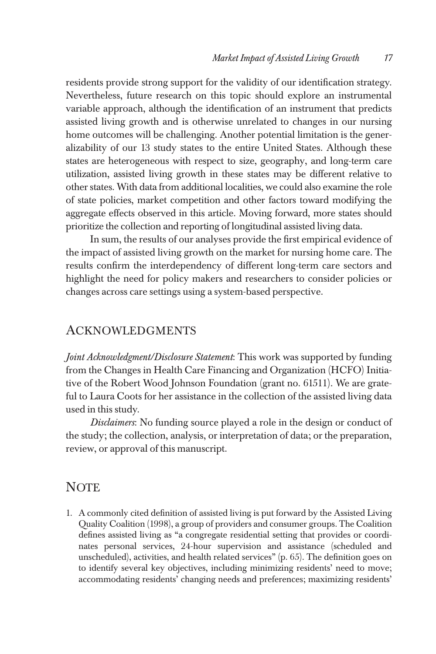residents provide strong support for the validity of our identification strategy. Nevertheless, future research on this topic should explore an instrumental variable approach, although the identification of an instrument that predicts assisted living growth and is otherwise unrelated to changes in our nursing home outcomes will be challenging. Another potential limitation is the generalizability of our 13 study states to the entire United States. Although these states are heterogeneous with respect to size, geography, and long-term care utilization, assisted living growth in these states may be different relative to other states. With data from additional localities, we could also examine the role of state policies, market competition and other factors toward modifying the aggregate effects observed in this article. Moving forward, more states should prioritize the collection and reporting of longitudinal assisted living data.

In sum, the results of our analyses provide the first empirical evidence of the impact of assisted living growth on the market for nursing home care. The results confirm the interdependency of different long-term care sectors and highlight the need for policy makers and researchers to consider policies or changes across care settings using a system-based perspective.

## ACKNOWLEDGMENTS

Joint Acknowledgment/Disclosure Statement: This work was supported by funding from the Changes in Health Care Financing and Organization (HCFO) Initiative of the Robert Wood Johnson Foundation (grant no. 61511). We are grateful to Laura Coots for her assistance in the collection of the assisted living data used in this study.

Disclaimers: No funding source played a role in the design or conduct of the study; the collection, analysis, or interpretation of data; or the preparation, review, or approval of this manuscript.

# **NOTE**

1. A commonly cited definition of assisted living is put forward by the Assisted Living Quality Coalition (1998), a group of providers and consumer groups. The Coalition defines assisted living as "a congregate residential setting that provides or coordinates personal services, 24-hour supervision and assistance (scheduled and unscheduled), activities, and health related services" (p. 65). The definition goes on to identify several key objectives, including minimizing residents' need to move; accommodating residents' changing needs and preferences; maximizing residents'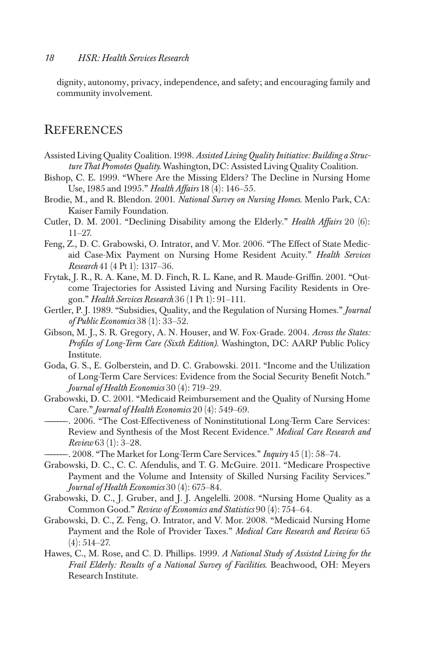dignity, autonomy, privacy, independence, and safety; and encouraging family and community involvement.

### **REFERENCES**

- Assisted Living Quality Coalition. 1998. Assisted Living Quality Initiative: Building a Structure That Promotes Quality. Washington, DC: Assisted Living Quality Coalition.
- Bishop, C. E. 1999. "Where Are the Missing Elders? The Decline in Nursing Home Use, 1985 and 1995." Health Affairs 18 (4): 146–55.
- Brodie, M., and R. Blendon. 2001. National Survey on Nursing Homes. Menlo Park, CA: Kaiser Family Foundation.
- Cutler, D. M. 2001. "Declining Disability among the Elderly." Health Affairs 20 (6): 11–27.
- Feng, Z., D. C. Grabowski, O. Intrator, and V. Mor. 2006. "The Effect of State Medicaid Case-Mix Payment on Nursing Home Resident Acuity." Health Services Research 41 (4 Pt 1): 1317–36.
- Frytak, J. R., R. A. Kane, M. D. Finch, R. L. Kane, and R. Maude-Griffin. 2001. "Outcome Trajectories for Assisted Living and Nursing Facility Residents in Oregon." Health Services Research 36 (1 Pt 1): 91–111.
- Gertler, P. J. 1989. "Subsidies, Quality, and the Regulation of Nursing Homes." Journal of Public Economics 38 (1): 33–52.
- Gibson, M. J., S. R. Gregory, A. N. Houser, and W. Fox-Grade. 2004. Across the States: Profiles of Long-Term Care (Sixth Edition). Washington, DC: AARP Public Policy Institute.
- Goda, G. S., E. Golberstein, and D. C. Grabowski. 2011. "Income and the Utilization of Long-Term Care Services: Evidence from the Social Security Benefit Notch." Journal of Health Economics 30 (4): 719–29.
- Grabowski, D. C. 2001. "Medicaid Reimbursement and the Quality of Nursing Home Care." Journal of Health Economics 20 (4): 549–69.
- ———————. 2006. "The Cost-Effectiveness of Noninstitutional Long-Term Care Services: Review and Synthesis of the Most Recent Evidence." Medical Care Research and Review 63 (1): 3–28.
- —–. 2008. "The Market for Long-Term Care Services." *Inquiry* 45 (1): 58–74.
- Grabowski, D. C., C. C. Afendulis, and T. G. McGuire. 2011. "Medicare Prospective Payment and the Volume and Intensity of Skilled Nursing Facility Services." Journal of Health Economics 30 (4): 675–84.
- Grabowski, D. C., J. Gruber, and J. J. Angelelli. 2008. "Nursing Home Quality as a Common Good." Review of Economics and Statistics 90 (4): 754–64.
- Grabowski, D. C., Z. Feng, O. Intrator, and V. Mor. 2008. "Medicaid Nursing Home Payment and the Role of Provider Taxes." Medical Care Research and Review 65  $(4): 514 - 27.$
- Hawes, C., M. Rose, and C. D. Phillips. 1999. A National Study of Assisted Living for the Frail Elderly: Results of a National Survey of Facilities. Beachwood, OH: Meyers Research Institute.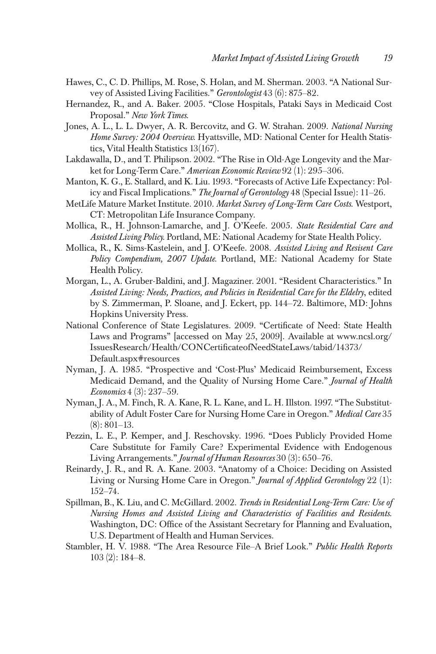- Hawes, C., C. D. Phillips, M. Rose, S. Holan, and M. Sherman. 2003. "A National Survey of Assisted Living Facilities." Gerontologist 43 (6): 875–82.
- Hernandez, R., and A. Baker. 2005. "Close Hospitals, Pataki Says in Medicaid Cost Proposal." New York Times.
- Jones, A. L., L. L. Dwyer, A. R. Bercovitz, and G. W. Strahan. 2009. National Nursing Home Survey: 2004 Overview. Hyattsville, MD: National Center for Health Statistics, Vital Health Statistics 13(167).
- Lakdawalla, D., and T. Philipson. 2002. "The Rise in Old-Age Longevity and the Market for Long-Term Care." American Economic Review 92 (1): 295-306.
- Manton, K. G., E. Stallard, and K. Liu. 1993. "Forecasts of Active Life Expectancy: Policy and Fiscal Implications." The Journal of Gerontology 48 (Special Issue): 11–26.
- MetLife Mature Market Institute. 2010. Market Survey of Long-Term Care Costs. Westport, CT: Metropolitan Life Insurance Company.
- Mollica, R., H. Johnson-Lamarche, and J. O'Keefe. 2005. State Residential Care and Assisted Living Policy. Portland, ME: National Academy for State Health Policy.
- Mollica, R., K. Sims-Kastelein, and J. O'Keefe. 2008. Assisted Living and Resisent Care Policy Compendium, 2007 Update. Portland, ME: National Academy for State Health Policy.
- Morgan, L., A. Gruber-Baldini, and J. Magaziner. 2001. "Resident Characteristics." In Assisted Living: Needs, Practices, and Policies in Residential Care for the Eldelry, edited by S. Zimmerman, P. Sloane, and J. Eckert, pp. 144–72. Baltimore, MD: Johns Hopkins University Press.
- National Conference of State Legislatures. 2009. "Certificate of Need: State Health Laws and Programs" [accessed on May 25, 2009]. Available at www.ncsl.org/ IssuesResearch/Health/CONCertificateofNeedStateLaws/tabid/14373/ Default.aspx#resources
- Nyman, J. A. 1985. "Prospective and 'Cost-Plus' Medicaid Reimbursement, Excess Medicaid Demand, and the Quality of Nursing Home Care." Journal of Health Economics 4 (3): 237–59.
- Nyman, J. A., M. Finch, R. A. Kane, R. L. Kane, and L. H. Illston. 1997. "The Substitutability of Adult Foster Care for Nursing Home Care in Oregon." Medical Care 35 (8): 801–13.
- Pezzin, L. E., P. Kemper, and J. Reschovsky. 1996. "Does Publicly Provided Home Care Substitute for Family Care? Experimental Evidence with Endogenous Living Arrangements." Journal of Human Resources 30 (3): 650-76.
- Reinardy, J. R., and R. A. Kane. 2003. "Anatomy of a Choice: Deciding on Assisted Living or Nursing Home Care in Oregon." *Journal of Applied Gerontology* 22 (1): 152–74.
- Spillman, B., K. Liu, and C. McGillard. 2002. Trends in Residential Long-Term Care: Use of Nursing Homes and Assisted Living and Characteristics of Facilities and Residents. Washington, DC: Office of the Assistant Secretary for Planning and Evaluation, U.S. Department of Health and Human Services.
- Stambler, H. V. 1988. "The Area Resource File–A Brief Look." Public Health Reports 103 (2): 184–8.